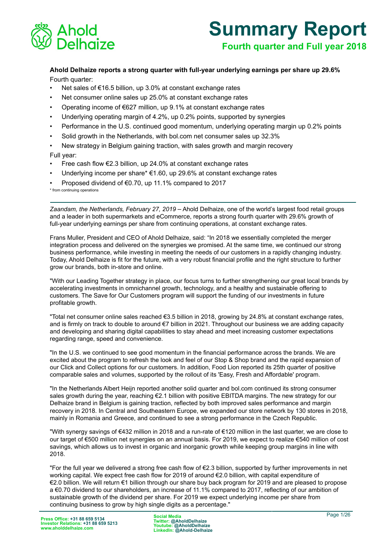

# **Summary Report**

**Fourth quarter and Full year 2018**

**Ahold Delhaize reports a strong quarter with full-year underlying earnings per share up 29.6%** Fourth quarter:

- Net sales of €16.5 billion, up 3.0% at constant exchange rates
- Net consumer online sales up 25.0% at constant exchange rates
- Operating income of €627 million, up 9.1% at constant exchange rates
- Underlying operating margin of 4.2%, up 0.2% points, supported by synergies
- Performance in the U.S. continued good momentum, underlying operating margin up 0.2% points
- Solid growth in the Netherlands, with bol.com net consumer sales up 32.3%
- New strategy in Belgium gaining traction, with sales growth and margin recovery

## Full year:

- Free cash flow  $\epsilon$ 2.3 billion, up 24.0% at constant exchange rates
- Underlying income per share<sup>\*</sup>  $€1.60$ , up 29.6% at constant exchange rates
- Proposed dividend of €0.70, up 11.1% compared to 2017

\* from continuing operations

*Zaandam, the Netherlands, February 27, 2019 –* Ahold Delhaize, one of the world's largest food retail groups and a leader in both supermarkets and eCommerce, reports a strong fourth quarter with 29.6% growth of full-year underlying earnings per share from continuing operations, at constant exchange rates.

Frans Muller, President and CEO of Ahold Delhaize, said: "In 2018 we essentially completed the merger integration process and delivered on the synergies we promised. At the same time, we continued our strong business performance, while investing in meeting the needs of our customers in a rapidly changing industry. Today, Ahold Delhaize is fit for the future, with a very robust financial profile and the right structure to further grow our brands, both in-store and online.

"With our Leading Together strategy in place, our focus turns to further strengthening our great local brands by accelerating investments in omnichannel growth, technology, and a healthy and sustainable offering to customers. The Save for Our Customers program will support the funding of our investments in future profitable growth.

"Total net consumer online sales reached €3.5 billion in 2018, growing by 24.8% at constant exchange rates, and is firmly on track to double to around €7 billion in 2021. Throughout our business we are adding capacity and developing and sharing digital capabilities to stay ahead and meet increasing customer expectations regarding range, speed and convenience.

"In the U.S. we continued to see good momentum in the financial performance across the brands. We are excited about the program to refresh the look and feel of our Stop & Shop brand and the rapid expansion of our Click and Collect options for our customers. In addition, Food Lion reported its 25th quarter of positive comparable sales and volumes, supported by the rollout of its 'Easy, Fresh and Affordable' program.

"In the Netherlands Albert Heijn reported another solid quarter and bol.com continued its strong consumer sales growth during the year, reaching €2.1 billion with positive EBITDA margins. The new strategy for our Delhaize brand in Belgium is gaining traction, reflected by both improved sales performance and margin recovery in 2018. In Central and Southeastern Europe, we expanded our store network by 130 stores in 2018, mainly in Romania and Greece, and continued to see a strong performance in the Czech Republic.

"With synergy savings of €432 million in 2018 and a run-rate of €120 million in the last quarter, we are close to our target of €500 million net synergies on an annual basis. For 2019, we expect to realize €540 million of cost savings, which allows us to invest in organic and inorganic growth while keeping group margins in line with 2018.

"For the full year we delivered a strong free cash flow of €2.3 billion, supported by further improvements in net working capital. We expect free cash flow for 2019 of around €2.0 billion, with capital expenditure of €2.0 billion. We will return €1 billion through our share buy back program for 2019 and are pleased to propose a €0.70 dividend to our shareholders, an increase of 11.1% compared to 2017, reflecting of our ambition of sustainable growth of the dividend per share. For 2019 we expect underlying income per share from continuing business to grow by high single digits as a percentage."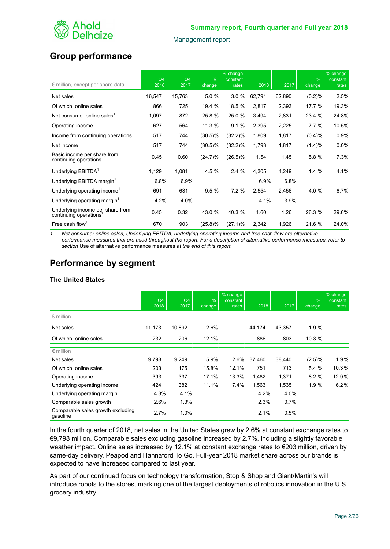

# **Group performance**

| $\epsilon$ million, except per share data                 | Q4<br>2018 | Q4<br>2017 | $\frac{9}{6}$<br>change | % change<br>constant<br>rates | 2018   | 2017   | $\frac{9}{6}$<br>change | % change<br>constant<br>rates |
|-----------------------------------------------------------|------------|------------|-------------------------|-------------------------------|--------|--------|-------------------------|-------------------------------|
| Net sales                                                 | 16,547     | 15,763     | 5.0%                    | 3.0%                          | 62,791 | 62,890 | (0.2)%                  | 2.5%                          |
| Of which: online sales                                    | 866        | 725        | 19.4 %                  | 18.5 %                        | 2,817  | 2,393  | 17.7 %                  | 19.3%                         |
| Net consumer online sales <sup>1</sup>                    | 1,097      | 872        | 25.8%                   | 25.0 %                        | 3,494  | 2,831  | 23.4 %                  | 24.8%                         |
| Operating income                                          | 627        | 564        | 11.3 %                  | 9.1%                          | 2,395  | 2,225  | 7.7%                    | 10.5%                         |
| Income from continuing operations                         | 517        | 744        | $(30.5)\%$              | $(32.2)\%$                    | 1,809  | 1,817  | (0.4)%                  | 0.9%                          |
| Net income                                                | 517        | 744        | (30.5)%                 | $(32.2)\%$                    | 1,793  | 1,817  | (1.4)%                  | 0.0%                          |
| Basic income per share from<br>continuing operations      | 0.45       | 0.60       | $(24.7)\%$              | $(26.5)\%$                    | 1.54   | 1.45   | 5.8%                    | 7.3%                          |
| Underlying EBITDA <sup>1</sup>                            | 1,129      | 1,081      | 4.5 %                   | 2.4%                          | 4,305  | 4,249  | 1.4%                    | 4.1%                          |
| Underlying EBITDA margin <sup>1</sup>                     | 6.8%       | 6.9%       |                         |                               | 6.9%   | 6.8%   |                         |                               |
| Underlying operating income <sup>1</sup>                  | 691        | 631        | 9.5%                    | 7.2%                          | 2,554  | 2,456  | 4.0 %                   | 6.7%                          |
| Underlying operating margin <sup>1</sup>                  | 4.2%       | 4.0%       |                         |                               | 4.1%   | 3.9%   |                         |                               |
| Underlying income per share from<br>continuing operations | 0.45       | 0.32       | 43.0 %                  | 40.3 %                        | 1.60   | 1.26   | 26.3 %                  | 29.6%                         |
| Free cash flow <sup>1</sup>                               | 670        | 903        | (25.8)%                 | $(27.1)\%$                    | 2,342  | 1,926  | 21.6 %                  | 24.0%                         |

*1. Net consumer online sales, Underlying EBITDA, underlying operating income and free cash flow are alternative performance measures that are used throughout the report. For a description of alternative performance measures, refer to section* Use of alternative performance measures *at the end of this report.*

# **Performance by segment**

## **The United States**

|                                               | Q4<br>2018 | Q4<br>2017 | $\frac{9}{6}$<br>change | % change<br>constant<br>rates | 2018   | 2017    | $\frac{9}{6}$<br>change | % change<br>constant<br>rates |
|-----------------------------------------------|------------|------------|-------------------------|-------------------------------|--------|---------|-------------------------|-------------------------------|
| \$ million                                    |            |            |                         |                               |        |         |                         |                               |
| Net sales                                     | 11,173     | 10,892     | 2.6%                    |                               | 44,174 | 43,357  | 1.9%                    |                               |
| Of which: online sales                        | 232        | 206        | 12.1%                   |                               | 886    | 803     | 10.3 %                  |                               |
| $\epsilon$ million                            |            |            |                         |                               |        |         |                         |                               |
| Net sales                                     | 9,798      | 9,249      | 5.9%                    | 2.6%                          | 37,460 | 38,440  | (2.5)%                  | 1.9%                          |
| Of which: online sales                        | 203        | 175        | 15.8%                   | 12.1%                         | 751    | 713     | 5.4%                    | 10.3%                         |
| Operating income                              | 393        | 337        | 17.1%                   | 13.3%                         | 1,482  | 1,371   | 8.2%                    | 12.9%                         |
| Underlying operating income                   | 424        | 382        | 11.1%                   | 7.4%                          | 1,563  | 1,535   | 1.9%                    | 6.2%                          |
| Underlying operating margin                   | 4.3%       | 4.1%       |                         |                               | 4.2%   | 4.0%    |                         |                               |
| Comparable sales growth                       | 2.6%       | 1.3%       |                         |                               | 2.3%   | $0.7\%$ |                         |                               |
| Comparable sales growth excluding<br>gasoline | 2.7%       | 1.0%       |                         |                               | 2.1%   | 0.5%    |                         |                               |

In the fourth quarter of 2018, net sales in the United States grew by 2.6% at constant exchange rates to €9,798 million. Comparable sales excluding gasoline increased by 2.7%, including a slightly favorable weather impact. Online sales increased by 12.1% at constant exchange rates to €203 million, driven by same-day delivery, Peapod and Hannaford To Go. Full-year 2018 market share across our brands is expected to have increased compared to last year.

As part of our continued focus on technology transformation, Stop & Shop and Giant/Martin's will introduce robots to the stores, marking one of the largest deployments of robotics innovation in the U.S. grocery industry.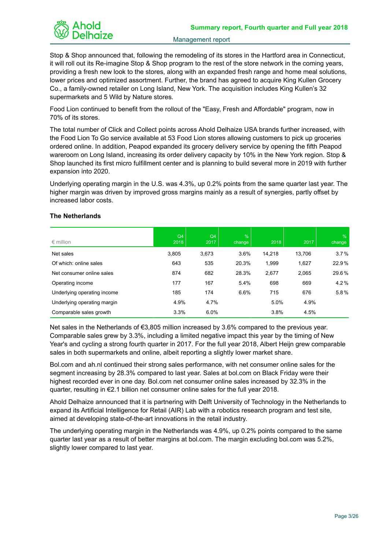

Stop & Shop announced that, following the remodeling of its stores in the Hartford area in Connecticut, it will roll out its Re-imagine Stop & Shop program to the rest of the store network in the coming years, providing a fresh new look to the stores, along with an expanded fresh range and home meal solutions, lower prices and optimized assortment. Further, the brand has agreed to acquire King Kullen Grocery Co., a family-owned retailer on Long Island, New York. The acquisition includes King Kullen's 32 supermarkets and 5 Wild by Nature stores.

Food Lion continued to benefit from the rollout of the "Easy, Fresh and Affordable" program, now in 70% of its stores.

The total number of Click and Collect points across Ahold Delhaize USA brands further increased, with the Food Lion To Go service available at 53 Food Lion stores allowing customers to pick up groceries ordered online. In addition, Peapod expanded its grocery delivery service by opening the fifth Peapod wareroom on Long Island, increasing its order delivery capacity by 10% in the New York region. Stop & Shop launched its first micro fulfillment center and is planning to build several more in 2019 with further expansion into 2020.

Underlying operating margin in the U.S. was 4.3%, up 0.2% points from the same quarter last year. The higher margin was driven by improved gross margins mainly as a result of synergies, partly offset by increased labor costs.

| $\epsilon$ million          | Q <sub>4</sub><br>2018 | Q <sub>4</sub><br>2017 | $\%$<br>change | 2018   | 2017   | $\%$<br>change |
|-----------------------------|------------------------|------------------------|----------------|--------|--------|----------------|
| Net sales                   | 3,805                  | 3,673                  | 3.6%           | 14,218 | 13,706 | 3.7%           |
| Of which: online sales      | 643                    | 535                    | 20.3%          | 1,999  | 1,627  | 22.9%          |
| Net consumer online sales   | 874                    | 682                    | 28.3%          | 2,677  | 2,065  | 29.6%          |
| Operating income            | 177                    | 167                    | 5.4%           | 698    | 669    | 4.2%           |
| Underlying operating income | 185                    | 174                    | 6.6%           | 715    | 676    | 5.8%           |
| Underlying operating margin | 4.9%                   | 4.7%                   |                | 5.0%   | 4.9%   |                |
| Comparable sales growth     | 3.3%                   | 6.0%                   |                | 3.8%   | 4.5%   |                |

## **The Netherlands**

Net sales in the Netherlands of €3,805 million increased by 3.6% compared to the previous year. Comparable sales grew by 3.3%, including a limited negative impact this year by the timing of New Year's and cycling a strong fourth quarter in 2017. For the full year 2018, Albert Heijn grew comparable sales in both supermarkets and online, albeit reporting a slightly lower market share.

Bol.com and ah.nl continued their strong sales performance, with net consumer online sales for the segment increasing by 28.3% compared to last year. Sales at bol.com on Black Friday were their highest recorded ever in one day. Bol.com net consumer online sales increased by 32.3% in the quarter, resulting in €2.1 billion net consumer online sales for the full year 2018.

Ahold Delhaize announced that it is partnering with Delft University of Technology in the Netherlands to expand its Artificial Intelligence for Retail (AIR) Lab with a robotics research program and test site, aimed at developing state-of-the-art innovations in the retail industry.

The underlying operating margin in the Netherlands was 4.9%, up 0.2% points compared to the same quarter last year as a result of better margins at bol.com. The margin excluding bol.com was 5.2%, slightly lower compared to last year.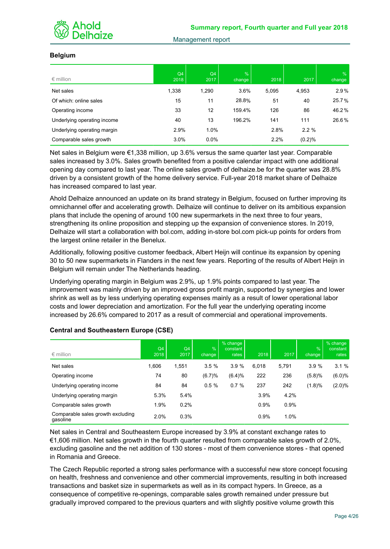

#### **Belgium**

| $\epsilon$ million          | Q4<br>2018 | Q4<br>2017 | $\%$<br>change | 2018  | 2017   | $\%$<br>change |
|-----------------------------|------------|------------|----------------|-------|--------|----------------|
| Net sales                   | 1,338      | 1,290      | 3.6%           | 5,095 | 4,953  | 2.9%           |
| Of which: online sales      | 15         | 11         | 28.8%          | 51    | 40     | 25.7%          |
| Operating income            | 33         | 12         | 159.4%         | 126   | 86     | 46.2%          |
| Underlying operating income | 40         | 13         | 196.2%         | 141   | 111    | 26.6%          |
| Underlying operating margin | 2.9%       | 1.0%       |                | 2.8%  | 2.2%   |                |
| Comparable sales growth     | 3.0%       | 0.0%       |                | 2.2%  | (0.2)% |                |

Net sales in Belgium were €1,338 million, up 3.6% versus the same quarter last year. Comparable sales increased by 3.0%. Sales growth benefited from a positive calendar impact with one additional opening day compared to last year. The online sales growth of delhaize.be for the quarter was 28.8% driven by a consistent growth of the home delivery service. Full-year 2018 market share of Delhaize has increased compared to last year.

Ahold Delhaize announced an update on its brand strategy in Belgium, focused on further improving its omnichannel offer and accelerating growth. Delhaize will continue to deliver on its ambitious expansion plans that include the opening of around 100 new supermarkets in the next three to four years, strengthening its online proposition and stepping up the expansion of convenience stores. In 2019, Delhaize will start a collaboration with bol.com, adding in-store bol.com pick-up points for orders from the largest online retailer in the Benelux.

Additionally, following positive customer feedback, Albert Heijn will continue its expansion by opening 30 to 50 new supermarkets in Flanders in the next few years. Reporting of the results of Albert Heijn in Belgium will remain under The Netherlands heading.

Underlying operating margin in Belgium was 2.9%, up 1.9% points compared to last year. The improvement was mainly driven by an improved gross profit margin, supported by synergies and lower shrink as well as by less underlying operating expenses mainly as a result of lower operational labor costs and lower depreciation and amortization. For the full year the underlying operating income increased by 26.6% compared to 2017 as a result of commercial and operational improvements.

| $\epsilon$ million                            | Q4<br>2018 | Q4<br>2017 | $\frac{9}{6}$<br>change | % change<br>constant<br>rates | 2018  | 2017  | $\frac{9}{6}$<br>change | % change<br>constant<br>rates |
|-----------------------------------------------|------------|------------|-------------------------|-------------------------------|-------|-------|-------------------------|-------------------------------|
| Net sales                                     | 1,606      | 1,551      | 3.5%                    | 3.9%                          | 6.018 | 5,791 | 3.9%                    | 3.1%                          |
| Operating income                              | 74         | 80         | (6.7)%                  | (6.4)%                        | 222   | 236   | (5.8)%                  | (6.0)%                        |
| Underlying operating income                   | 84         | 84         | 0.5%                    | 0.7%                          | 237   | 242   | (1.8)%                  | (2.0)%                        |
| Underlying operating margin                   | 5.3%       | 5.4%       |                         |                               | 3.9%  | 4.2%  |                         |                               |
| Comparable sales growth                       | 1.9%       | 0.2%       |                         |                               | 0.9%  | 0.9%  |                         |                               |
| Comparable sales growth excluding<br>gasoline | 2.0%       | 0.3%       |                         |                               | 0.9%  | 1.0%  |                         |                               |

#### **Central and Southeastern Europe (CSE)**

Net sales in Central and Southeastern Europe increased by 3.9% at constant exchange rates to €1,606 million. Net sales growth in the fourth quarter resulted from comparable sales growth of 2.0%, excluding gasoline and the net addition of 130 stores - most of them convenience stores - that opened in Romania and Greece.

The Czech Republic reported a strong sales performance with a successful new store concept focusing on health, freshness and convenience and other commercial improvements, resulting in both increased transactions and basket size in supermarkets as well as in its compact hypers. In Greece, as a consequence of competitive re-openings, comparable sales growth remained under pressure but gradually improved compared to the previous quarters and with slightly positive volume growth this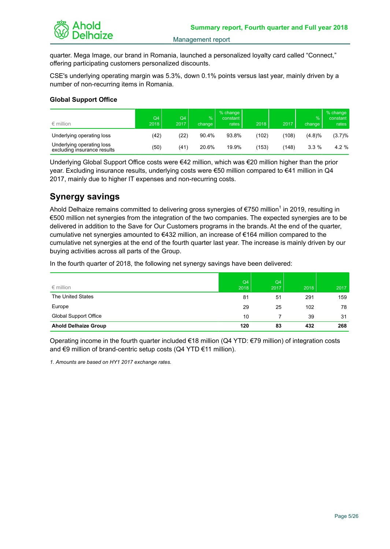

quarter. Mega Image, our brand in Romania, launched a personalized loyalty card called "Connect," offering participating customers personalized discounts.

CSE's underlying operating margin was 5.3%, down 0.1% points versus last year, mainly driven by a number of non-recurring items in Romania.

#### **Global Support Office**

| $\epsilon$ million                                       | Q <sub>4</sub><br>2018 | Q <sub>4</sub><br>2017 | $\%$<br>change | % change<br>constant<br>rates | 2018  | 2017  | %<br>change | % change<br>constant<br>rates |
|----------------------------------------------------------|------------------------|------------------------|----------------|-------------------------------|-------|-------|-------------|-------------------------------|
| Underlying operating loss                                | (42)                   | (22)                   | 90.4%          | 93.8%                         | (102) | (108) | (4.8)%      | $(3.7)\%$                     |
| Underlying operating loss<br>excluding insurance results | (50)                   | (41)                   | 20.6%          | 19.9%                         | (153) | (148) | 3.3%        | 4.2 %                         |

Underlying Global Support Office costs were €42 million, which was €20 million higher than the prior year. Excluding insurance results, underlying costs were €50 million compared to €41 million in Q4 2017, mainly due to higher IT expenses and non-recurring costs.

# **Synergy savings**

Ahold Delhaize remains committed to delivering gross synergies of  $\epsilon$ 750 million<sup>1</sup> in 2019, resulting in €500 million net synergies from the integration of the two companies. The expected synergies are to be delivered in addition to the Save for Our Customers programs in the brands. At the end of the quarter, cumulative net synergies amounted to €432 million, an increase of €164 million compared to the cumulative net synergies at the end of the fourth quarter last year. The increase is mainly driven by our buying activities across all parts of the Group.

In the fourth quarter of 2018, the following net synergy savings have been delivered:

| $\epsilon$ million          | Q4<br>2018 | Q4<br>2017 | 2018 | 2017 |
|-----------------------------|------------|------------|------|------|
| The United States           | 81         | 51         | 291  | 159  |
| Europe                      | 29         | 25         | 102  | 78   |
| Global Support Office       | 10         |            | 39   | 31   |
| <b>Ahold Delhaize Group</b> | 120        | 83         | 432  | 268  |

Operating income in the fourth quarter included €18 million (Q4 YTD: €79 million) of integration costs and €9 million of brand-centric setup costs (Q4 YTD €11 million).

*1. Amounts are based on HY1 2017 exchange rates.*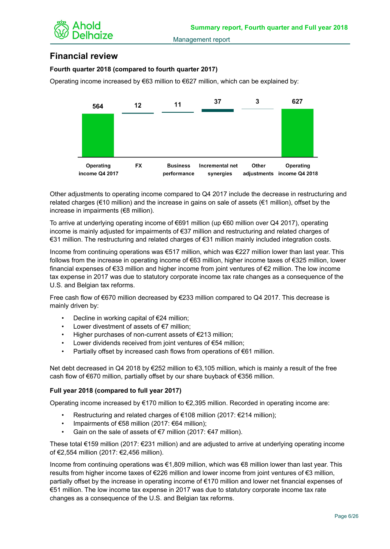

# **Financial review**

## **Fourth quarter 2018 (compared to fourth quarter 2017)**

Operating income increased by  $\epsilon$ 63 million to  $\epsilon$ 627 million, which can be explained by:



Other adjustments to operating income compared to Q4 2017 include the decrease in restructuring and related charges (€10 million) and the increase in gains on sale of assets (€1 million), offset by the increase in impairments (€8 million).

To arrive at underlying operating income of €691 million (up €60 million over Q4 2017), operating income is mainly adjusted for impairments of €37 million and restructuring and related charges of €31 million. The restructuring and related charges of €31 million mainly included integration costs.

Income from continuing operations was €517 million, which was €227 million lower than last year. This follows from the increase in operating income of €63 million, higher income taxes of €325 million, lower financial expenses of €33 million and higher income from joint ventures of €2 million. The low income tax expense in 2017 was due to statutory corporate income tax rate changes as a consequence of the U.S. and Belgian tax reforms.

Free cash flow of €670 million decreased by €233 million compared to Q4 2017. This decrease is mainly driven by:

- Decline in working capital of  $E$ 24 million;
- Lower divestment of assets of  $E$ 7 million;
- Higher purchases of non-current assets of  $E$ 213 million;
- Lower dividends received from joint ventures of  $E$ 54 million;
- Partially offset by increased cash flows from operations of €61 million.

Net debt decreased in Q4 2018 by €252 million to €3,105 million, which is mainly a result of the free cash flow of €670 million, partially offset by our share buyback of €356 million.

## **Full year 2018 (compared to full year 2017)**

Operating income increased by  $\epsilon$ 170 million to  $\epsilon$ 2,395 million. Recorded in operating income are:

- Restructuring and related charges of €108 million (2017: €214 million);
- Impairments of €58 million (2017: €64 million);
- Gain on the sale of assets of €7 million (2017: €47 million).

These total €159 million (2017: €231 million) and are adjusted to arrive at underlying operating income of €2,554 million (2017: €2,456 million).

Income from continuing operations was €1,809 million, which was €8 million lower than last year. This results from higher income taxes of €226 million and lower income from joint ventures of €3 million, partially offset by the increase in operating income of €170 million and lower net financial expenses of €51 million. The low income tax expense in 2017 was due to statutory corporate income tax rate changes as a consequence of the U.S. and Belgian tax reforms.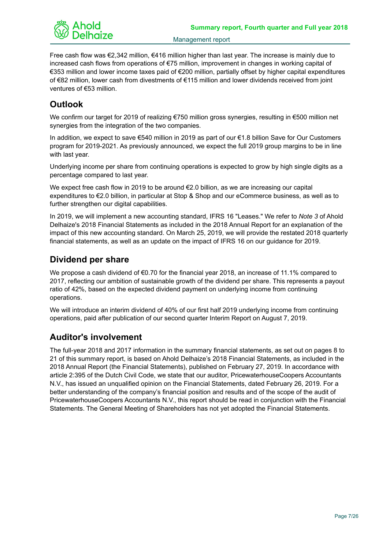

Free cash flow was €2,342 million, €416 million higher than last year. The increase is mainly due to increased cash flows from operations of €75 million, improvement in changes in working capital of €353 million and lower income taxes paid of €200 million, partially offset by higher capital expenditures of €82 million, lower cash from divestments of €115 million and lower dividends received from joint ventures of €53 million.

# **Outlook**

We confirm our target for 2019 of realizing €750 million gross synergies, resulting in €500 million net synergies from the integration of the two companies.

In addition, we expect to save €540 million in 2019 as part of our €1.8 billion Save for Our Customers program for 2019-2021. As previously announced, we expect the full 2019 group margins to be in line with last year.

Underlying income per share from continuing operations is expected to grow by high single digits as a percentage compared to last year.

We expect free cash flow in 2019 to be around €2.0 billion, as we are increasing our capital expenditures to €2.0 billion, in particular at Stop & Shop and our eCommerce business, as well as to further strengthen our digital capabilities.

In 2019, we will implement a new accounting standard, IFRS 16 "Leases." We refer to *Note 3* of Ahold Delhaize's 2018 Financial Statements as included in the 2018 Annual Report for an explanation of the impact of this new accounting standard. On March 25, 2019, we will provide the restated 2018 quarterly financial statements, as well as an update on the impact of IFRS 16 on our guidance for 2019.

# **Dividend per share**

We propose a cash dividend of  $\epsilon$ 0.70 for the financial year 2018, an increase of 11.1% compared to 2017, reflecting our ambition of sustainable growth of the dividend per share. This represents a payout ratio of 42%, based on the expected dividend payment on underlying income from continuing operations.

We will introduce an interim dividend of 40% of our first half 2019 underlying income from continuing operations, paid after publication of our second quarter Interim Report on August 7, 2019.

# **Auditor's involvement**

The full-year 2018 and 2017 information in the summary financial statements, as set out on pages 8 to 21 of this summary report, is based on Ahold Delhaize's 2018 Financial Statements, as included in the 2018 Annual Report (the Financial Statements), published on February 27, 2019. In accordance with article 2:395 of the Dutch Civil Code, we state that our auditor, PricewaterhouseCoopers Accountants N.V., has issued an unqualified opinion on the Financial Statements, dated February 26, 2019. For a better understanding of the company's financial position and results and of the scope of the audit of PricewaterhouseCoopers Accountants N.V., this report should be read in conjunction with the Financial Statements. The General Meeting of Shareholders has not yet adopted the Financial Statements.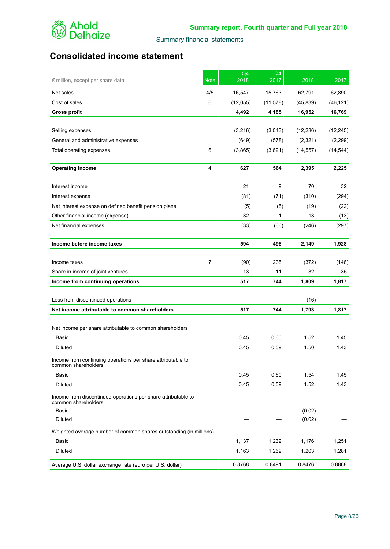

# **Consolidated income statement**

| € million, except per share data                                                     | <b>Note</b>    | Q4<br>2018 | Q4<br>2017 | 2018      | 2017      |
|--------------------------------------------------------------------------------------|----------------|------------|------------|-----------|-----------|
| Net sales                                                                            | 4/5            | 16,547     | 15,763     | 62,791    | 62,890    |
| Cost of sales                                                                        | 6              | (12,055)   | (11, 578)  | (45, 839) | (46, 121) |
| <b>Gross profit</b>                                                                  |                | 4,492      | 4,185      | 16,952    | 16,769    |
|                                                                                      |                |            |            |           |           |
| Selling expenses                                                                     |                | (3,216)    | (3,043)    | (12, 236) | (12, 245) |
| General and administrative expenses                                                  |                | (649)      | (578)      | (2,321)   | (2,299)   |
| Total operating expenses                                                             | 6              | (3,865)    | (3,621)    | (14, 557) | (14, 544) |
| <b>Operating income</b>                                                              | 4              | 627        | 564        | 2,395     | 2,225     |
| Interest income                                                                      |                | 21         | 9          | 70        | 32        |
| Interest expense                                                                     |                | (81)       | (71)       | (310)     | (294)     |
| Net interest expense on defined benefit pension plans                                |                | (5)        | (5)        | (19)      | (22)      |
| Other financial income (expense)                                                     |                | 32         | 1          | 13        | (13)      |
| Net financial expenses                                                               |                | (33)       | (66)       | (246)     | (297)     |
| Income before income taxes                                                           |                | 594        | 498        | 2,149     | 1,928     |
|                                                                                      |                |            |            |           |           |
| Income taxes                                                                         | $\overline{7}$ | (90)       | 235        | (372)     | (146)     |
| Share in income of joint ventures                                                    |                | 13         | 11         | 32        | 35        |
| Income from continuing operations                                                    |                | 517        | 744        | 1,809     | 1,817     |
| Loss from discontinued operations                                                    |                |            |            | (16)      |           |
| Net income attributable to common shareholders                                       |                | 517        | 744        | 1,793     | 1,817     |
|                                                                                      |                |            |            |           |           |
| Net income per share attributable to common shareholders                             |                |            |            |           |           |
| Basic                                                                                |                | 0.45       | 0.60       | 1.52      | 1.45      |
| Diluted                                                                              |                | 0.45       | 0.59       | 1.50      | 1.43      |
| Income from continuing operations per share attributable to<br>common shareholders   |                |            |            |           |           |
| Basic                                                                                |                | 0.45       | 0.60       | 1.54      | 1.45      |
| Diluted                                                                              |                | 0.45       | 0.59       | 1.52      | 1.43      |
| Income from discontinued operations per share attributable to<br>common shareholders |                |            |            |           |           |
| Basic                                                                                |                |            |            | (0.02)    |           |
| <b>Diluted</b>                                                                       |                |            |            | (0.02)    |           |
| Weighted average number of common shares outstanding (in millions)                   |                |            |            |           |           |
| Basic                                                                                |                | 1,137      | 1,232      | 1,176     | 1,251     |
| Diluted                                                                              |                | 1,163      | 1,262      | 1,203     | 1,281     |
| Average U.S. dollar exchange rate (euro per U.S. dollar)                             |                | 0.8768     | 0.8491     | 0.8476    | 0.8868    |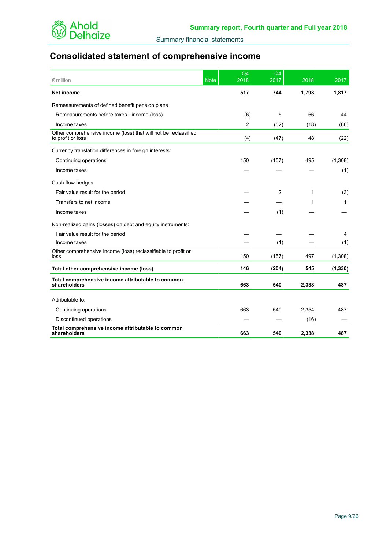

# **Consolidated statement of comprehensive income**

| $\epsilon$ million                                                                   | <b>Note</b> | Q4<br>$\frac{2018}{ }$ | Q4<br>$\frac{2017}{2}$ | 2018  | 2017     |
|--------------------------------------------------------------------------------------|-------------|------------------------|------------------------|-------|----------|
| Net income                                                                           |             | 517                    | 744                    | 1,793 | 1,817    |
| Remeasurements of defined benefit pension plans                                      |             |                        |                        |       |          |
| Remeasurements before taxes - income (loss)                                          |             | (6)                    | 5                      | 66    | 44       |
| Income taxes                                                                         |             | $\overline{2}$         | (52)                   | (18)  | (66)     |
| Other comprehensive income (loss) that will not be reclassified<br>to profit or loss |             | (4)                    | (47)                   | 48    | (22)     |
| Currency translation differences in foreign interests:                               |             |                        |                        |       |          |
| Continuing operations                                                                |             | 150                    | (157)                  | 495   | (1,308)  |
| Income taxes                                                                         |             |                        |                        |       | (1)      |
| Cash flow hedges:                                                                    |             |                        |                        |       |          |
| Fair value result for the period                                                     |             |                        | 2                      | 1     | (3)      |
| Transfers to net income                                                              |             |                        |                        | 1     | 1        |
| Income taxes                                                                         |             |                        | (1)                    |       |          |
| Non-realized gains (losses) on debt and equity instruments:                          |             |                        |                        |       |          |
| Fair value result for the period                                                     |             |                        |                        |       | 4        |
| Income taxes                                                                         |             |                        | (1)                    |       | (1)      |
| Other comprehensive income (loss) reclassifiable to profit or<br>loss                |             | 150                    | (157)                  | 497   | (1,308)  |
| Total other comprehensive income (loss)                                              |             | 146                    | (204)                  | 545   | (1, 330) |
| Total comprehensive income attributable to common<br>shareholders                    |             | 663                    | 540                    | 2,338 | 487      |
| Attributable to:                                                                     |             |                        |                        |       |          |
| Continuing operations                                                                |             | 663                    | 540                    | 2,354 | 487      |
| Discontinued operations                                                              |             |                        |                        | (16)  |          |
| Total comprehensive income attributable to common<br>shareholders                    |             | 663                    | 540                    | 2,338 | 487      |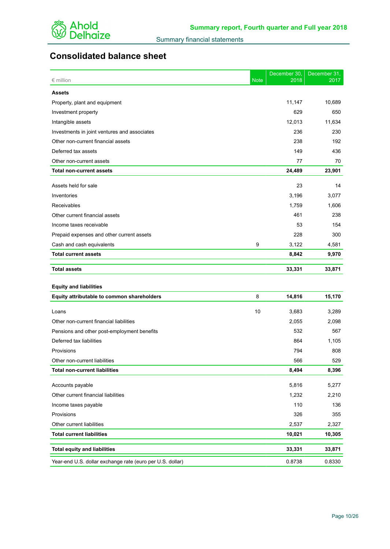

# **Consolidated balance sheet**

| $\epsilon$ million                           | <b>Note</b> | December 30,<br>2018 | December 31,<br>2017 |
|----------------------------------------------|-------------|----------------------|----------------------|
| <b>Assets</b>                                |             |                      |                      |
| Property, plant and equipment                |             | 11,147               | 10,689               |
| Investment property                          |             | 629                  | 650                  |
| Intangible assets                            |             | 12,013               | 11,634               |
| Investments in joint ventures and associates |             | 236                  | 230                  |
| Other non-current financial assets           |             | 238                  | 192                  |
| Deferred tax assets                          |             | 149                  | 436                  |
| Other non-current assets                     |             | 77                   | 70                   |
| <b>Total non-current assets</b>              |             | 24,489               | 23,901               |
| Assets held for sale                         |             | 23                   | 14                   |
| Inventories                                  |             | 3,196                | 3,077                |
| Receivables                                  |             | 1,759                | 1,606                |
| Other current financial assets               |             | 461                  | 238                  |
| Income taxes receivable                      |             | 53                   | 154                  |
| Prepaid expenses and other current assets    |             | 228                  | 300                  |
| Cash and cash equivalents                    | 9           | 3,122                | 4,581                |
| <b>Total current assets</b>                  |             | 8,842                | 9,970                |
| <b>Total assets</b>                          |             | 33,331               | 33,871               |
|                                              |             |                      |                      |
| <b>Equity and liabilities</b>                |             |                      |                      |
| Equity attributable to common shareholders   | 8           | 14,816               | 15,170               |
| Loans                                        | 10          | 3,683                | 3,289                |
| Other non-current financial liabilities      |             | 2,055                | 2,098                |
| Pensions and other post-employment benefits  |             | 532                  | 567                  |
| Deferred tax liabilities                     |             | 864                  | 1,105                |
| Provisions                                   |             | 794                  | 808                  |
| Other non-current liabilities                |             | 566                  | 529                  |
| <b>Total non-current liabilities</b>         |             | 8,494                | 8,396                |
| Accounts payable                             |             | 5,816                | 5,277                |
| Other current financial liabilities          |             | 1,232                | 2,210                |
| Income taxes payable                         |             | 110                  | 136                  |
| Provisions                                   |             | 326                  | 355                  |
|                                              |             |                      |                      |

| Other current liabilities                                 | 2.537  | 2.327  |
|-----------------------------------------------------------|--------|--------|
| <b>Total current liabilities</b>                          | 10.021 | 10.305 |
| <b>Total equity and liabilities</b>                       | 33.331 | 33.871 |
| Year-end U.S. dollar exchange rate (euro per U.S. dollar) | 0.8738 | 0.8330 |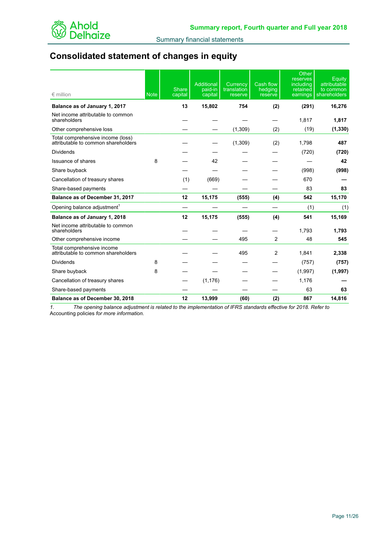

# **Consolidated statement of changes in equity**

| $\epsilon$ million                                                       | <b>Note</b> | Share<br>capital               | <b>Additional</b><br>paid-in<br>capital | Currency<br>translation<br>reserve | Cash flow<br>hedging<br>reserve | Other<br>reserves<br>including<br>retained<br>earnings | Equity<br>attributable<br>to common<br>shareholders |
|--------------------------------------------------------------------------|-------------|--------------------------------|-----------------------------------------|------------------------------------|---------------------------------|--------------------------------------------------------|-----------------------------------------------------|
| Balance as of January 1, 2017                                            |             | 13                             | 15,802                                  | 754                                | (2)                             | (291)                                                  | 16,276                                              |
| Net income attributable to common<br>shareholders                        |             |                                |                                         |                                    |                                 | 1,817                                                  | 1,817                                               |
| Other comprehensive loss                                                 |             |                                |                                         | (1,309)                            | (2)                             | (19)                                                   | (1, 330)                                            |
| Total comprehensive income (loss)<br>attributable to common shareholders |             |                                |                                         | (1,309)                            | (2)                             | 1,798                                                  | 487                                                 |
| <b>Dividends</b>                                                         |             |                                |                                         |                                    |                                 | (720)                                                  | (720)                                               |
| <b>Issuance of shares</b>                                                | 8           |                                | 42                                      |                                    |                                 |                                                        | 42                                                  |
| Share buyback                                                            |             |                                |                                         |                                    |                                 | (998)                                                  | (998)                                               |
| Cancellation of treasury shares                                          |             | (1)                            | (669)                                   |                                    |                                 | 670                                                    |                                                     |
| Share-based payments                                                     |             |                                |                                         |                                    |                                 | 83                                                     | 83                                                  |
| Balance as of December 31, 2017                                          |             | 12                             | 15,175                                  | (555)                              | (4)                             | 542                                                    | 15,170                                              |
| Opening balance adjustment <sup>1</sup>                                  |             | $\overbrace{\phantom{123321}}$ |                                         |                                    |                                 | (1)                                                    | (1)                                                 |
| Balance as of January 1, 2018                                            |             | 12                             | 15,175                                  | (555)                              | (4)                             | 541                                                    | 15.169                                              |
| Net income attributable to common<br>shareholders                        |             |                                |                                         |                                    |                                 | 1,793                                                  | 1,793                                               |
| Other comprehensive income                                               |             |                                |                                         | 495                                | 2                               | 48                                                     | 545                                                 |
| Total comprehensive income<br>attributable to common shareholders        |             |                                |                                         | 495                                | $\overline{2}$                  | 1,841                                                  | 2,338                                               |
| Dividends                                                                | 8           |                                |                                         |                                    |                                 | (757)                                                  | (757)                                               |
| Share buyback                                                            | 8           |                                |                                         |                                    |                                 | (1,997)                                                | (1, 997)                                            |
| Cancellation of treasury shares                                          |             |                                | (1, 176)                                |                                    |                                 | 1,176                                                  |                                                     |
| Share-based payments                                                     |             |                                |                                         |                                    |                                 | 63                                                     | 63                                                  |
| Balance as of December 30, 2018                                          |             | 12                             | 13,999                                  | (60)                               | (2)                             | 867                                                    | 14,816                                              |

*1. The opening balance adjustment is related to the implementation of IFRS standards effective for 2018. Refer to*  Accounting policies *for more information.*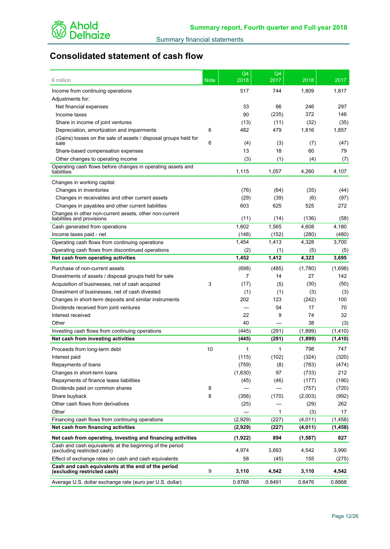

# **Consolidated statement of cash flow**

| $\epsilon$ million                                                                                                      | <b>Note</b> | Q4<br>2018 | Q4<br>2017 | 2018     | 2017     |
|-------------------------------------------------------------------------------------------------------------------------|-------------|------------|------------|----------|----------|
| Income from continuing operations                                                                                       |             | 517        | 744        | 1,809    | 1,817    |
| Adjustments for:                                                                                                        |             |            |            |          |          |
| Net financial expenses                                                                                                  |             | 33         | 66         | 246      | 297      |
| Income taxes                                                                                                            |             | 90         | (235)      | 372      | 146      |
| Share in income of joint ventures                                                                                       |             | (13)       | (11)       | (32)     | (35)     |
| Depreciation, amortization and impairments                                                                              | 6           | 482        | 479        | 1,816    | 1,857    |
| (Gains) losses on the sale of assets / disposal groups held for                                                         |             |            |            |          |          |
| sale                                                                                                                    | 6           | (4)        | (3)        | (7)      | (47)     |
| Share-based compensation expenses                                                                                       |             | 13         | 18         | 60       | 79       |
| Other changes to operating income                                                                                       |             | (3)        | (1)        | (4)      | (7)      |
| Operating cash flows before changes in operating assets and<br>liabilities                                              |             | 1,115      | 1,057      | 4,260    | 4,107    |
| Changes in working capital:                                                                                             |             |            |            |          |          |
| Changes in inventories                                                                                                  |             | (76)       | (64)       | (35)     | (44)     |
| Changes in receivables and other current assets                                                                         |             | (29)       | (39)       | (6)      | (97)     |
| Changes in payables and other current liabilities                                                                       |             | 603        | 625        | 525      | 272      |
| Changes in other non-current assets, other non-current                                                                  |             |            |            |          |          |
| liabilities and provisions                                                                                              |             | (11)       | (14)       | (136)    | (58)     |
| Cash generated from operations                                                                                          |             | 1,602      | 1,565      | 4,608    | 4,180    |
| Income taxes paid - net                                                                                                 |             | (148)      | (152)      | (280)    | (480)    |
| Operating cash flows from continuing operations                                                                         |             | 1,454      | 1,413      | 4,328    | 3,700    |
| Operating cash flows from discontinued operations                                                                       |             | (2)        | (1)        | (5)      | (5)      |
| Net cash from operating activities                                                                                      |             | 1,452      | 1,412      | 4,323    | 3,695    |
| Purchase of non-current assets                                                                                          |             | (698)      | (485)      | (1,780)  | (1,698)  |
| Divestments of assets / disposal groups held for sale                                                                   |             | 7          | 14         | 27       | 142      |
| Acquisition of businesses, net of cash acquired                                                                         | 3           | (17)       | (5)        | (30)     | (50)     |
| Divestment of businesses, net of cash divested                                                                          |             | (1)        | (1)        | (3)      | (3)      |
| Changes in short-term deposits and similar instruments                                                                  |             | 202        | 123        | (242)    | 100      |
| Dividends received from joint ventures                                                                                  |             |            | 54         | 17       | 70       |
| Interest received                                                                                                       |             | 22         | 9          | 74       | 32       |
| Other                                                                                                                   |             | 40         |            | 38       | (3)      |
| Investing cash flows from continuing operations                                                                         |             | (445)      | (291)      | (1,899)  | (1, 410) |
| Net cash from investing activities                                                                                      |             | (445)      | (291)      | (1,899)  | (1, 410) |
| Proceeds from long-term debt                                                                                            | 10          | 1          | 1          | 798      | 747      |
| Interest paid                                                                                                           |             | (115)      | (102)      | (324)    | (320)    |
| Repayments of loans                                                                                                     |             | (759)      | (8)        | (783)    | (474)    |
| Changes in short-term loans                                                                                             |             | (1,630)    | 97         | (733)    | 212      |
| Repayments of finance lease liabilities                                                                                 |             | (45)       | (46)       | (177)    | (190)    |
| Dividends paid on common shares                                                                                         | 8           |            |            | (757)    | (720)    |
| Share buyback                                                                                                           | 8           | (356)      | (170)      | (2,003)  | (992)    |
| Other cash flows from derivatives                                                                                       |             | (25)       |            | (29)     | 262      |
| Other                                                                                                                   |             |            | 1          | (3)      | 17       |
| Financing cash flows from continuing operations                                                                         |             | (2,929)    | (227)      | (4,011)  | (1,458)  |
| Net cash from financing activities                                                                                      |             | (2,929)    | (227)      | (4,011)  | (1, 458) |
|                                                                                                                         |             |            |            |          |          |
| Net cash from operating, investing and financing activities<br>Cash and cash equivalents at the beginning of the period |             | (1, 922)   | 894        | (1, 587) | 827      |
| (excluding restricted cash)                                                                                             |             | 4,974      | 3,693      | 4,542    | 3,990    |
| Effect of exchange rates on cash and cash equivalents                                                                   |             | 58         | (45)       | 155      | (275)    |
| Cash and cash equivalents at the end of the period<br>(excluding restricted cash)                                       | 9           | 3,110      | 4,542      | 3,110    | 4,542    |
| Average U.S. dollar exchange rate (euro per U.S. dollar)                                                                |             | 0.8768     | 0.8491     | 0.8476   | 0.8868   |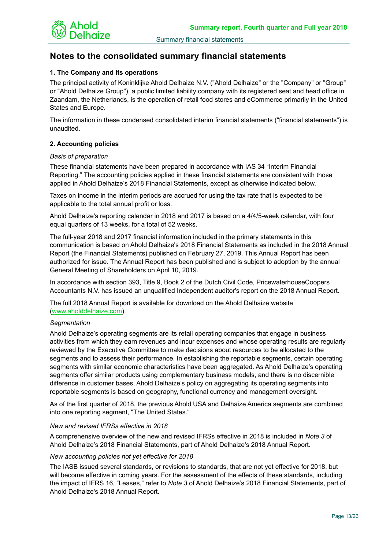

# **Notes to the consolidated summary financial statements**

## **1. The Company and its operations**

The principal activity of Koninklijke Ahold Delhaize N.V. ("Ahold Delhaize" or the "Company" or "Group" or "Ahold Delhaize Group"), a public limited liability company with its registered seat and head office in Zaandam, the Netherlands, is the operation of retail food stores and eCommerce primarily in the United States and Europe.

The information in these condensed consolidated interim financial statements ("financial statements") is unaudited.

## **2. Accounting policies**

#### *Basis of preparation*

These financial statements have been prepared in accordance with IAS 34 "Interim Financial Reporting." The accounting policies applied in these financial statements are consistent with those applied in Ahold Delhaize's 2018 Financial Statements, except as otherwise indicated below.

Taxes on income in the interim periods are accrued for using the tax rate that is expected to be applicable to the total annual profit or loss.

Ahold Delhaize's reporting calendar in 2018 and 2017 is based on a 4/4/5-week calendar, with four equal quarters of 13 weeks, for a total of 52 weeks.

The full-year 2018 and 2017 financial information included in the primary statements in this communication is based on Ahold Delhaize's 2018 Financial Statements as included in the 2018 Annual Report (the Financial Statements) published on February 27, 2019. This Annual Report has been authorized for issue. The Annual Report has been published and is subject to adoption by the annual General Meeting of Shareholders on April 10, 2019.

In accordance with section 393, Title 9, Book 2 of the Dutch Civil Code, PricewaterhouseCoopers Accountants N.V. has issued an unqualified Independent auditor's report on the 2018 Annual Report.

The full 2018 Annual Report is available for download on the Ahold Delhaize website (www.aholddelhaize.com).

## *Segmentation*

Ahold Delhaize's operating segments are its retail operating companies that engage in business activities from which they earn revenues and incur expenses and whose operating results are regularly reviewed by the Executive Committee to make decisions about resources to be allocated to the segments and to assess their performance. In establishing the reportable segments, certain operating segments with similar economic characteristics have been aggregated. As Ahold Delhaize's operating segments offer similar products using complementary business models, and there is no discernible difference in customer bases, Ahold Delhaize's policy on aggregating its operating segments into reportable segments is based on geography, functional currency and management oversight.

As of the first quarter of 2018, the previous Ahold USA and Delhaize America segments are combined into one reporting segment, "The United States."

## *New and revised IFRSs effective in 2018*

A comprehensive overview of the new and revised IFRSs effective in 2018 is included in *Note 3* of Ahold Delhaize's 2018 Financial Statements, part of Ahold Delhaize's 2018 Annual Report.

## *New accounting policies not yet effective for 2018*

The IASB issued several standards, or revisions to standards, that are not yet effective for 2018, but will become effective in coming years. For the assessment of the effects of these standards, including the impact of IFRS 16, "Leases," refer to *Note 3* of Ahold Delhaize's 2018 Financial Statements, part of Ahold Delhaize's 2018 Annual Report.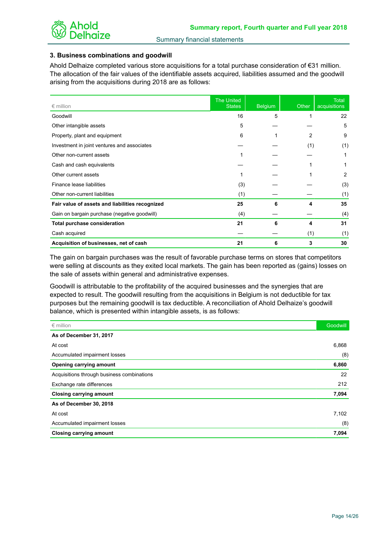

## **3. Business combinations and goodwill**

Ahold Delhaize completed various store acquisitions for a total purchase consideration of €31 million. The allocation of the fair values of the identifiable assets acquired, liabilities assumed and the goodwill arising from the acquisitions during 2018 are as follows:

| $\epsilon$ million                              | <b>The United</b><br><b>States</b> | <b>Belgium</b> | Other | <b>Total</b><br>acquisitions |
|-------------------------------------------------|------------------------------------|----------------|-------|------------------------------|
| Goodwill                                        | 16                                 | 5              |       | 22                           |
| Other intangible assets                         | 5                                  |                |       | 5                            |
| Property, plant and equipment                   | 6                                  |                | 2     | 9                            |
| Investment in joint ventures and associates     |                                    |                | (1)   | (1)                          |
| Other non-current assets                        |                                    |                |       |                              |
| Cash and cash equivalents                       |                                    |                |       | 1                            |
| Other current assets                            |                                    |                |       | 2                            |
| Finance lease liabilities                       | (3)                                |                |       | (3)                          |
| Other non-current liabilities                   | (1)                                |                |       | (1)                          |
| Fair value of assets and liabilities recognized | 25                                 | 6              | 4     | 35                           |
| Gain on bargain purchase (negative goodwill)    | (4)                                |                |       | (4)                          |
| <b>Total purchase consideration</b>             | 21                                 | 6              | 4     | 31                           |
| Cash acquired                                   |                                    |                | (1)   | (1)                          |
| Acquisition of businesses, net of cash          | 21                                 | 6              | 3     | 30                           |

The gain on bargain purchases was the result of favorable purchase terms on stores that competitors were selling at discounts as they exited local markets. The gain has been reported as (gains) losses on the sale of assets within general and administrative expenses.

Goodwill is attributable to the profitability of the acquired businesses and the synergies that are expected to result. The goodwill resulting from the acquisitions in Belgium is not deductible for tax purposes but the remaining goodwill is tax deductible. A reconciliation of Ahold Delhaize's goodwill balance, which is presented within intangible assets, is as follows:

| $\epsilon$ million                         | <b>Goodwill</b> |
|--------------------------------------------|-----------------|
| As of December 31, 2017                    |                 |
| At cost                                    | 6,868           |
| Accumulated impairment losses              | (8)             |
| Opening carrying amount                    | 6,860           |
| Acquisitions through business combinations | 22              |
| Exchange rate differences                  | 212             |
| <b>Closing carrying amount</b>             | 7,094           |
| As of December 30, 2018                    |                 |
| At cost                                    | 7,102           |
| Accumulated impairment losses              | (8)             |
| <b>Closing carrying amount</b>             | 7,094           |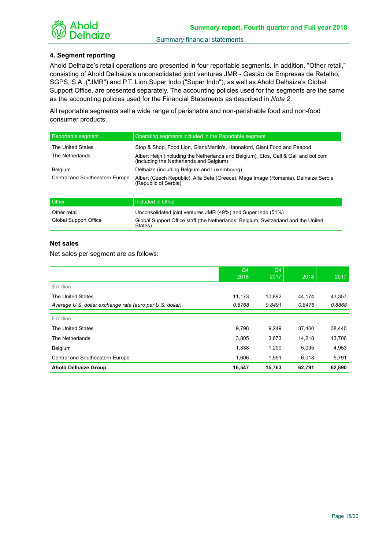

## **4. Segment reporting**

Ahold Delhaize's retail operations are presented in four reportable segments. In addition, "Other retail," consisting of Ahold Delhaize's unconsolidated joint ventures JMR - Gestão de Empresas de Retalho, SGPS, S.A. ("JMR") and P.T. Lion Super Indo ("Super Indo"), as well as Ahold Delhaize's Global Support Office, are presented separately. The accounting policies used for the segments are the same as the accounting policies used for the Financial Statements as described in *Note 2*.

All reportable segments sell a wide range of perishable and non-perishable food and non-food consumer products.

| Reportable segment              | Operating segments included in the Reportable segment                                                                          |
|---------------------------------|--------------------------------------------------------------------------------------------------------------------------------|
| <b>The United States</b>        | Stop & Shop, Food Lion, Giant/Martin's, Hannaford, Giant Food and Peapod                                                       |
| The Netherlands                 | Albert Heijn (including the Netherlands and Belgium), Etos, Gall & Gall and bol.com<br>(including the Netherlands and Belgium) |
| Belgium                         | Delhaize (including Belgium and Luxembourg)                                                                                    |
| Central and Southeastern Europe | Albert (Czech Republic), Alfa Beta (Greece), Mega Image (Romania), Delhaize Serbia<br>(Republic of Serbia)                     |

| <b>Other</b>          | Included in Other                                                                            |
|-----------------------|----------------------------------------------------------------------------------------------|
| Other retail          | Unconsolidated joint ventures JMR (49%) and Super Indo (51%)                                 |
| Global Support Office | Global Support Office staff (the Netherlands, Belgium, Switzerland and the United<br>States) |

## **Net sales**

Net sales per segment are as follows:

|                                                          | Q4<br>2018 | Q <sub>4</sub><br>2017 | 2018   | 2017   |
|----------------------------------------------------------|------------|------------------------|--------|--------|
| \$ million                                               |            |                        |        |        |
| The United States                                        | 11,173     | 10,892                 | 44,174 | 43,357 |
| Average U.S. dollar exchange rate (euro per U.S. dollar) | 0.8768     | 0.8491                 | 0.8476 | 0.8868 |
| $\epsilon$ million                                       |            |                        |        |        |
| The United States                                        | 9,798      | 9,249                  | 37,460 | 38,440 |
| The Netherlands                                          | 3,805      | 3,673                  | 14.218 | 13,706 |
| Belgium                                                  | 1,338      | 1,290                  | 5,095  | 4,953  |
| Central and Southeastern Europe                          | 1,606      | 1,551                  | 6,018  | 5,791  |
| <b>Ahold Delhaize Group</b>                              | 16,547     | 15,763                 | 62,791 | 62,890 |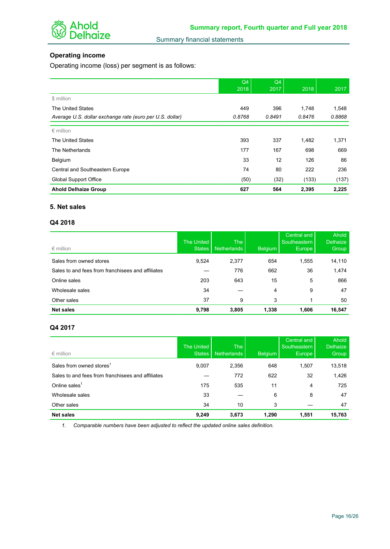

# **Operating income**

Operating income (loss) per segment is as follows:

|                                                          | Q4<br>2018 | Q4<br>2017 | 2018   | 2017   |
|----------------------------------------------------------|------------|------------|--------|--------|
| \$ million                                               |            |            |        |        |
| The United States                                        | 449        | 396        | 1,748  | 1,548  |
| Average U.S. dollar exchange rate (euro per U.S. dollar) | 0.8768     | 0.8491     | 0.8476 | 0.8868 |
| $\epsilon$ million                                       |            |            |        |        |
| <b>The United States</b>                                 | 393        | 337        | 1,482  | 1,371  |
| The Netherlands                                          | 177        | 167        | 698    | 669    |
| Belgium                                                  | 33         | 12         | 126    | 86     |
| Central and Southeastern Europe                          | 74         | 80         | 222    | 236    |
| Global Support Office                                    | (50)       | (32)       | (133)  | (137)  |
| <b>Ahold Delhaize Group</b>                              | 627        | 564        | 2,395  | 2,225  |

## **5. Net sales**

#### **Q4 2018**

| $\epsilon$ million                                | The United<br><b>States</b> | <b>The</b><br><b>Netherlands</b> | <b>Belgium</b> | Central and<br>Southeastern<br>Europe | Ahold<br><b>Delhaize</b><br>Group |
|---------------------------------------------------|-----------------------------|----------------------------------|----------------|---------------------------------------|-----------------------------------|
| Sales from owned stores                           | 9,524                       | 2,377                            | 654            | 1,555                                 | 14,110                            |
| Sales to and fees from franchisees and affiliates |                             | 776                              | 662            | 36                                    | 1,474                             |
| Online sales                                      | 203                         | 643                              | 15             | 5                                     | 866                               |
| Wholesale sales                                   | 34                          |                                  | 4              | 9                                     | 47                                |
| Other sales                                       | 37                          | 9                                | 3              |                                       | 50                                |
| <b>Net sales</b>                                  | 9,798                       | 3,805                            | 1,338          | 1,606                                 | 16,547                            |

## **Q4 2017**

| $\epsilon$ million                                | The United<br><b>States</b> | <b>The</b><br><b>Netherlands</b> | <b>Belgium</b> | Central and<br>Southeastern<br><b>Europe</b> | Ahold<br><b>Delhaize</b><br>Group |
|---------------------------------------------------|-----------------------------|----------------------------------|----------------|----------------------------------------------|-----------------------------------|
| Sales from owned stores <sup>1</sup>              | 9,007                       | 2,356                            | 648            | 1,507                                        | 13,518                            |
| Sales to and fees from franchisees and affiliates |                             | 772                              | 622            | 32                                           | 1,426                             |
| Online sales $1$                                  | 175                         | 535                              | 11             | 4                                            | 725                               |
| Wholesale sales                                   | 33                          |                                  | 6              | 8                                            | 47                                |
| Other sales                                       | 34                          | 10                               | 3              |                                              | 47                                |
| <b>Net sales</b>                                  | 9,249                       | 3,673                            | 1,290          | 1,551                                        | 15,763                            |

*1. Comparable numbers have been adjusted to reflect the updated online sales definition.*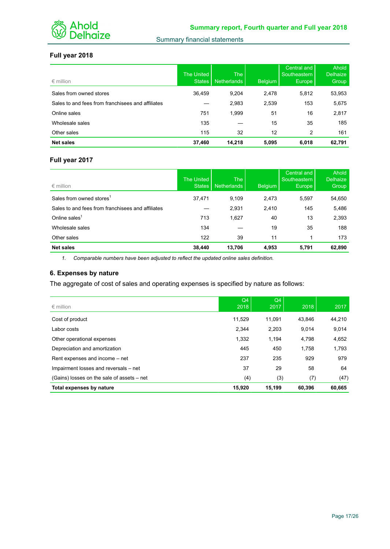

## **Full year 2018**

| $\epsilon$ million                                | The United<br><b>States</b> | <b>The</b><br><b>Netherlands</b> | Belgium | Central and<br>Southeastern<br>Europe | Ahold<br><b>Delhaize</b><br>Group |
|---------------------------------------------------|-----------------------------|----------------------------------|---------|---------------------------------------|-----------------------------------|
| Sales from owned stores                           | 36,459                      | 9,204                            | 2,478   | 5,812                                 | 53,953                            |
| Sales to and fees from franchisees and affiliates |                             | 2,983                            | 2,539   | 153                                   | 5,675                             |
| Online sales                                      | 751                         | 1,999                            | 51      | 16                                    | 2,817                             |
| Wholesale sales                                   | 135                         |                                  | 15      | 35                                    | 185                               |
| Other sales                                       | 115                         | 32                               | 12      | 2                                     | 161                               |
| <b>Net sales</b>                                  | 37,460                      | 14.218                           | 5,095   | 6,018                                 | 62.791                            |

# **Full year 2017**

| $\epsilon$ million                                | <b>The United</b><br><b>States</b> | The<br><b>Netherlands</b> | <b>Belgium</b> | Central and<br>Southeastern<br>Europe | Ahold<br><b>Delhaize</b><br>Group |
|---------------------------------------------------|------------------------------------|---------------------------|----------------|---------------------------------------|-----------------------------------|
| Sales from owned stores <sup>1</sup>              | 37,471                             | 9,109                     | 2,473          | 5,597                                 | 54,650                            |
| Sales to and fees from franchisees and affiliates |                                    | 2,931                     | 2,410          | 145                                   | 5,486                             |
| Online sales $1$                                  | 713                                | 1,627                     | 40             | 13                                    | 2,393                             |
| Wholesale sales                                   | 134                                |                           | 19             | 35                                    | 188                               |
| Other sales                                       | 122                                | 39                        | 11             |                                       | 173                               |
| <b>Net sales</b>                                  | 38,440                             | 13,706                    | 4,953          | 5,791                                 | 62,890                            |

*1. Comparable numbers have been adjusted to reflect the updated online sales definition.*

## **6. Expenses by nature**

The aggregate of cost of sales and operating expenses is specified by nature as follows:

| $\epsilon$ million                         | Q4<br>2018 | Q4<br>2017 | 2018   | 2017   |
|--------------------------------------------|------------|------------|--------|--------|
| Cost of product                            | 11.529     | 11.091     | 43.846 | 44,210 |
| Labor costs                                | 2,344      | 2,203      | 9,014  | 9,014  |
| Other operational expenses                 | 1,332      | 1,194      | 4,798  | 4,652  |
| Depreciation and amortization              | 445        | 450        | 1,758  | 1,793  |
| Rent expenses and income – net             | 237        | 235        | 929    | 979    |
| Impairment losses and reversals – net      | 37         | 29         | 58     | 64     |
| (Gains) losses on the sale of assets - net | (4)        | (3)        | (7)    | (47)   |
| Total expenses by nature                   | 15,920     | 15,199     | 60,396 | 60,665 |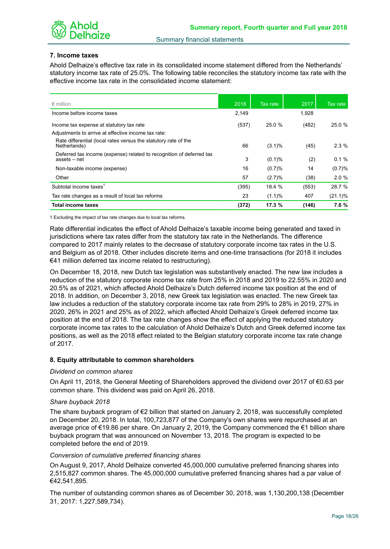

#### **7. Income taxes**

Ahold Delhaize's effective tax rate in its consolidated income statement differed from the Netherlands' statutory income tax rate of 25.0%. The following table reconciles the statutory income tax rate with the effective income tax rate in the consolidated income statement:

| $\epsilon$ million                                                                   | 2018  | Tax rate  | 2017  | Tax rate   |
|--------------------------------------------------------------------------------------|-------|-----------|-------|------------|
| Income before income taxes                                                           | 2,149 |           | 1,928 |            |
| Income tax expense at statutory tax rate                                             | (537) | 25.0 %    | (482) | 25.0 %     |
| Adjustments to arrive at effective income tax rate:                                  |       |           |       |            |
| Rate differential (local rates versus the statutory rate of the<br>Netherlands)      | 66    | $(3.1)\%$ | (45)  | $2.3\%$    |
| Deferred tax income (expense) related to recognition of deferred tax<br>assets – net | 3     | $(0.1)$ % | (2)   | 0.1%       |
| Non-taxable income (expense)                                                         | 16    | (0.7)%    | 14    | (0.7)%     |
| Other                                                                                | 57    | (2.7)%    | (38)  | 2.0%       |
| Subtotal income taxes                                                                | (395) | 18.4 %    | (553) | 28.7 %     |
| Tax rate changes as a result of local tax reforms                                    | 23    | (1.1)%    | 407   | $(21.1)\%$ |
| Total income taxes                                                                   | (372) | 17.3 %    | (146) | 7.6%       |

1 Excluding the impact of tax rate changes due to local tax reforms.

Rate differential indicates the effect of Ahold Delhaize's taxable income being generated and taxed in jurisdictions where tax rates differ from the statutory tax rate in the Netherlands. The difference compared to 2017 mainly relates to the decrease of statutory corporate income tax rates in the U.S. and Belgium as of 2018. Other includes discrete items and one-time transactions (for 2018 it includes €41 million deferred tax income related to restructuring).

On December 18, 2018, new Dutch tax legislation was substantively enacted. The new law includes a reduction of the statutory corporate income tax rate from 25% in 2018 and 2019 to 22.55% in 2020 and 20.5% as of 2021, which affected Ahold Delhaize's Dutch deferred income tax position at the end of 2018. In addition, on December 3, 2018, new Greek tax legislation was enacted. The new Greek tax law includes a reduction of the statutory corporate income tax rate from 29% to 28% in 2019, 27% in 2020, 26% in 2021 and 25% as of 2022, which affected Ahold Delhaize's Greek deferred income tax position at the end of 2018. The tax rate changes show the effect of applying the reduced statutory corporate income tax rates to the calculation of Ahold Delhaize's Dutch and Greek deferred income tax positions, as well as the 2018 effect related to the Belgian statutory corporate income tax rate change of 2017.

#### **8. Equity attributable to common shareholders**

#### *Dividend on common shares*

On April 11, 2018, the General Meeting of Shareholders approved the dividend over 2017 of €0.63 per common share. This dividend was paid on April 26, 2018.

#### *Share buyback 2018*

The share buyback program of  $\epsilon$ 2 billion that started on January 2, 2018, was successfully completed on December 20, 2018. In total, 100,723,877 of the Company's own shares were repurchased at an average price of €19.86 per share. On January 2, 2019, the Company commenced the €1 billion share buyback program that was announced on November 13, 2018. The program is expected to be completed before the end of 2019.

#### *Conversion of cumulative preferred financing shares*

On August 9, 2017, Ahold Delhaize converted 45,000,000 cumulative preferred financing shares into 2,515,827 common shares. The 45,000,000 cumulative preferred financing shares had a par value of €42,541,895.

The number of outstanding common shares as of December 30, 2018, was 1,130,200,138 (December 31, 2017: 1,227,589,734).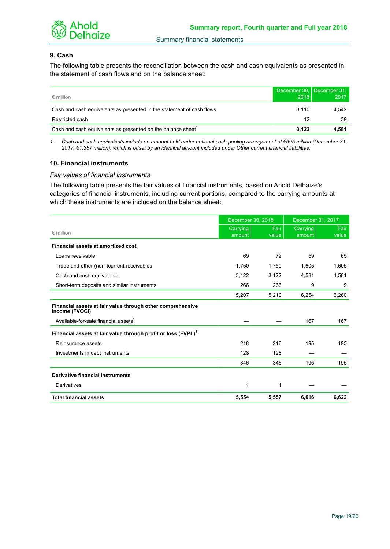

## **9. Cash**

The following table presents the reconciliation between the cash and cash equivalents as presented in the statement of cash flows and on the balance sheet:

| $\epsilon$ million                                                       | 2018  | December 30, December 31,<br>2017 |
|--------------------------------------------------------------------------|-------|-----------------------------------|
| Cash and cash equivalents as presented in the statement of cash flows    | 3.110 | 4.542                             |
| Restricted cash                                                          | 12    | 39                                |
| Cash and cash equivalents as presented on the balance sheet <sup>1</sup> | 3.122 | 4.581                             |

*1. Cash and cash equivalents include an amount held under notional cash pooling arrangement of €695 million (December 31, 2017: €1,367 million), which is offset by an identical amount included under Other current financial liabilities.*

#### **10. Financial instruments**

#### *Fair values of financial instruments*

The following table presents the fair values of financial instruments, based on Ahold Delhaize's categories of financial instruments, including current portions, compared to the carrying amounts at which these instruments are included on the balance sheet:

|                                                                              | December 30, 2018  |               | December 31, 2017  |               |
|------------------------------------------------------------------------------|--------------------|---------------|--------------------|---------------|
| $\epsilon$ million                                                           | Carrying<br>amount | Fair<br>value | Carrying<br>amount | Fair<br>value |
| Financial assets at amortized cost                                           |                    |               |                    |               |
| Loans receivable                                                             | 69                 | 72            | 59                 | 65            |
| Trade and other (non-)current receivables                                    | 1,750              | 1,750         | 1,605              | 1,605         |
| Cash and cash equivalents                                                    | 3,122              | 3,122         | 4,581              | 4,581         |
| Short-term deposits and similar instruments                                  | 266                | 266           | 9                  | 9             |
|                                                                              | 5,207              | 5,210         | 6,254              | 6,260         |
| Financial assets at fair value through other comprehensive<br>income (FVOCI) |                    |               |                    |               |
| Available-for-sale financial assets <sup>1</sup>                             |                    |               | 167                | 167           |
| Financial assets at fair value through profit or loss (FVPL) <sup>1</sup>    |                    |               |                    |               |
| Reinsurance assets                                                           | 218                | 218           | 195                | 195           |
| Investments in debt instruments                                              | 128                | 128           |                    |               |
|                                                                              | 346                | 346           | 195                | 195           |
| <b>Derivative financial instruments</b>                                      |                    |               |                    |               |
| Derivatives                                                                  | 1                  | 1             |                    |               |
| <b>Total financial assets</b>                                                | 5,554              | 5,557         | 6,616              | 6,622         |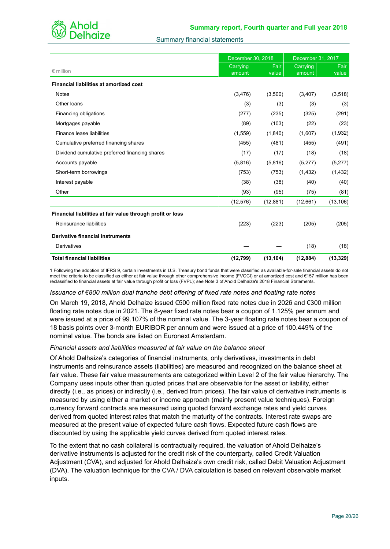

|                                                            | December 30, 2018  |               | December 31, 2017  |               |
|------------------------------------------------------------|--------------------|---------------|--------------------|---------------|
| $\epsilon$ million                                         | Carrying<br>amount | Fair<br>value | Carrying<br>amount | Fair<br>value |
| <b>Financial liabilities at amortized cost</b>             |                    |               |                    |               |
| <b>Notes</b>                                               | (3,476)            | (3,500)       | (3,407)            | (3,518)       |
| Other loans                                                | (3)                | (3)           | (3)                | (3)           |
| Financing obligations                                      | (277)              | (235)         | (325)              | (291)         |
| Mortgages payable                                          | (89)               | (103)         | (22)               | (23)          |
| Finance lease liabilities                                  | (1,559)            | (1,840)       | (1,607)            | (1,932)       |
| Cumulative preferred financing shares                      | (455)              | (481)         | (455)              | (491)         |
| Dividend cumulative preferred financing shares             | (17)               | (17)          | (18)               | (18)          |
| Accounts payable                                           | (5,816)            | (5,816)       | (5,277)            | (5,277)       |
| Short-term borrowings                                      | (753)              | (753)         | (1, 432)           | (1, 432)      |
| Interest payable                                           | (38)               | (38)          | (40)               | (40)          |
| Other                                                      | (93)               | (95)          | (75)               | (81)          |
|                                                            | (12, 576)          | (12, 881)     | (12,661)           | (13, 106)     |
| Financial liabilities at fair value through profit or loss |                    |               |                    |               |
| Reinsurance liabilities                                    | (223)              | (223)         | (205)              | (205)         |
| <b>Derivative financial instruments</b>                    |                    |               |                    |               |
| Derivatives                                                |                    |               | (18)               | (18)          |
| <b>Total financial liabilities</b>                         | (12, 799)          | (13, 104)     | (12, 884)          | (13, 329)     |

1 Following the adoption of IFRS 9, certain investments in U.S. Treasury bond funds that were classified as available-for-sale financial assets do not meet the criteria to be classified as either at fair value through other comprehensive income (FVOCI) or at amortized cost and €157 million has been reclassified to financial assets at fair value through profit or loss (FVPL); see Note 3 of Ahold Delhaize's 2018 Financial Statements.

#### *Issuance of €800 million dual tranche debt offering of fixed rate notes and floating rate notes*

On March 19, 2018, Ahold Delhaize issued €500 million fixed rate notes due in 2026 and €300 million floating rate notes due in 2021. The 8-year fixed rate notes bear a coupon of 1.125% per annum and were issued at a price of 99.107% of the nominal value. The 3-year floating rate notes bear a coupon of 18 basis points over 3-month EURIBOR per annum and were issued at a price of 100.449% of the nominal value. The bonds are listed on Euronext Amsterdam.

#### *Financial assets and liabilities measured at fair value on the balance sheet*

Of Ahold Delhaize's categories of financial instruments, only derivatives, investments in debt instruments and reinsurance assets (liabilities) are measured and recognized on the balance sheet at fair value. These fair value measurements are categorized within Level 2 of the fair value hierarchy. The Company uses inputs other than quoted prices that are observable for the asset or liability, either directly (i.e., as prices) or indirectly (i.e., derived from prices). The fair value of derivative instruments is measured by using either a market or income approach (mainly present value techniques). Foreign currency forward contracts are measured using quoted forward exchange rates and yield curves derived from quoted interest rates that match the maturity of the contracts. Interest rate swaps are measured at the present value of expected future cash flows. Expected future cash flows are discounted by using the applicable yield curves derived from quoted interest rates.

To the extent that no cash collateral is contractually required, the valuation of Ahold Delhaize's derivative instruments is adjusted for the credit risk of the counterparty, called Credit Valuation Adjustment (CVA), and adjusted for Ahold Delhaize's own credit risk, called Debit Valuation Adjustment (DVA). The valuation technique for the CVA / DVA calculation is based on relevant observable market inputs.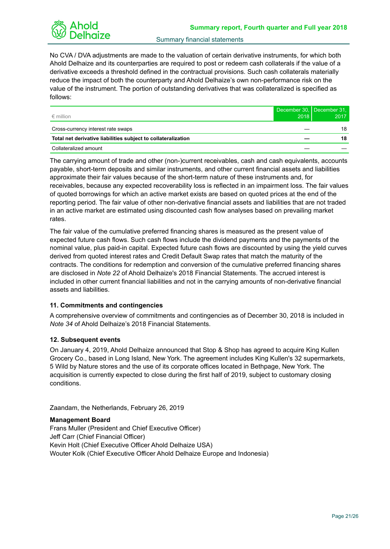No CVA / DVA adjustments are made to the valuation of certain derivative instruments, for which both Ahold Delhaize and its counterparties are required to post or redeem cash collaterals if the value of a derivative exceeds a threshold defined in the contractual provisions. Such cash collaterals materially reduce the impact of both the counterparty and Ahold Delhaize's own non-performance risk on the value of the instrument. The portion of outstanding derivatives that was collateralized is specified as follows:

| $\epsilon$ million                                            | 2018 | December 30, December 31,<br>2017 |
|---------------------------------------------------------------|------|-----------------------------------|
| Cross-currency interest rate swaps                            |      | 18                                |
| Total net derivative liabilities subject to collateralization |      | 18                                |
| Collateralized amount                                         |      |                                   |

The carrying amount of trade and other (non-)current receivables, cash and cash equivalents, accounts payable, short-term deposits and similar instruments, and other current financial assets and liabilities approximate their fair values because of the short-term nature of these instruments and, for receivables, because any expected recoverability loss is reflected in an impairment loss. The fair values of quoted borrowings for which an active market exists are based on quoted prices at the end of the reporting period. The fair value of other non-derivative financial assets and liabilities that are not traded in an active market are estimated using discounted cash flow analyses based on prevailing market rates.

The fair value of the cumulative preferred financing shares is measured as the present value of expected future cash flows. Such cash flows include the dividend payments and the payments of the nominal value, plus paid-in capital. Expected future cash flows are discounted by using the yield curves derived from quoted interest rates and Credit Default Swap rates that match the maturity of the contracts. The conditions for redemption and conversion of the cumulative preferred financing shares are disclosed in *Note 22* of Ahold Delhaize's 2018 Financial Statements. The accrued interest is included in other current financial liabilities and not in the carrying amounts of non-derivative financial assets and liabilities.

## **11. Commitments and contingencies**

A comprehensive overview of commitments and contingencies as of December 30, 2018 is included in *Note 34* of Ahold Delhaize's 2018 Financial Statements.

## **12. Subsequent events**

On January 4, 2019, Ahold Delhaize announced that Stop & Shop has agreed to acquire King Kullen Grocery Co., based in Long Island, New York. The agreement includes King Kullen's 32 supermarkets, 5 Wild by Nature stores and the use of its corporate offices located in Bethpage, New York. The acquisition is currently expected to close during the first half of 2019, subject to customary closing conditions.

Zaandam, the Netherlands, February 26, 2019

## **Management Board**

Frans Muller (President and Chief Executive Officer) Jeff Carr (Chief Financial Officer) Kevin Holt (Chief Executive Officer Ahold Delhaize USA) Wouter Kolk (Chief Executive Officer Ahold Delhaize Europe and Indonesia)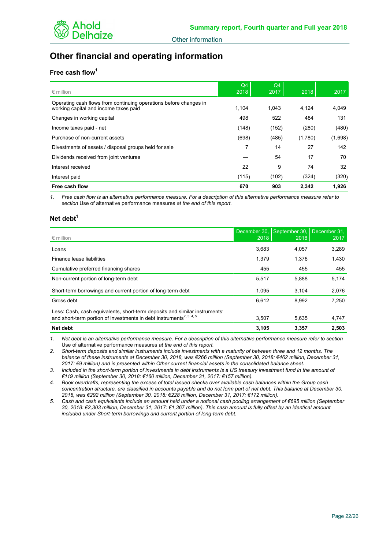# **Other financial and operating information**

## **Free cash flow<sup>1</sup>**

| $\epsilon$ million                                                                                         | Q4<br>2018 | Q <sub>4</sub><br>2017 | 2018    | 2017    |
|------------------------------------------------------------------------------------------------------------|------------|------------------------|---------|---------|
| Operating cash flows from continuing operations before changes in<br>working capital and income taxes paid | 1.104      | 1.043                  | 4,124   | 4,049   |
| Changes in working capital                                                                                 | 498        | 522                    | 484     | 131     |
| Income taxes paid - net                                                                                    | (148)      | (152)                  | (280)   | (480)   |
| Purchase of non-current assets                                                                             | (698)      | (485)                  | (1,780) | (1,698) |
| Divestments of assets / disposal groups held for sale                                                      | 7          | 14                     | 27      | 142     |
| Dividends received from joint ventures                                                                     |            | 54                     | 17      | 70      |
| Interest received                                                                                          | 22         | 9                      | 74      | 32      |
| Interest paid                                                                                              | (115)      | (102)                  | (324)   | (320)   |
| Free cash flow                                                                                             | 670        | 903                    | 2.342   | 1,926   |

*1. Free cash flow is an alternative performance measure. For a description of this alternative performance measure refer to section* Use of alternative performance measures *at the end of this report.*

#### **Net debt<sup>1</sup>**

| $\epsilon$ million                                                                                                                                           | December 30.<br>2018 | September 30.<br>2018 | December 31.<br>2017 |
|--------------------------------------------------------------------------------------------------------------------------------------------------------------|----------------------|-----------------------|----------------------|
|                                                                                                                                                              |                      |                       |                      |
| Loans                                                                                                                                                        | 3,683                | 4.057                 | 3,289                |
| Finance lease liabilities                                                                                                                                    | 1,379                | 1,376                 | 1,430                |
| Cumulative preferred financing shares                                                                                                                        | 455                  | 455                   | 455                  |
| Non-current portion of long-term debt                                                                                                                        | 5,517                | 5,888                 | 5,174                |
| Short-term borrowings and current portion of long-term debt                                                                                                  | 1.095                | 3,104                 | 2,076                |
| Gross debt                                                                                                                                                   | 6.612                | 8,992                 | 7,250                |
| Less: Cash, cash equivalents, short-term deposits and similar instruments<br>and short-term portion of investments in debt instruments <sup>2, 3, 4, 5</sup> | 3,507                | 5,635                 | 4,747                |
| Net debt                                                                                                                                                     | 3,105                | 3,357                 | 2.503                |

*1. Net debt is an alternative performance measure. For a description of this alternative performance measure refer to section*  Use of alternative performance measures *at the end of this report.*

*2. Short-term deposits and similar instruments include investments with a maturity of between three and 12 months. The balance of these instruments at December 30, 2018, was €266 million (September 30, 2018: €462 million, December 31, 2017: €9 million) and is presented within Other current financial assets in the consolidated balance sheet.*

*3. Included in the short-term portion of investments in debt instruments is a US treasury investment fund in the amount of €119 million (September 30, 2018: €160 million, December 31, 2017: €157 million).*

*4. Book overdrafts, representing the excess of total issued checks over available cash balances within the Group cash concentration structure, are classified in accounts payable and do not form part of net debt. This balance at December 30, 2018, was €292 million (September 30, 2018: €228 million, December 31, 2017: €172 million).*

*5. Cash and cash equivalents include an amount held under a notional cash pooling arrangement of €695 million (September 30, 2018: €2,303 million, December 31, 2017: €1,367 million). This cash amount is fully offset by an identical amount included under Short-term borrowings and current portion of long-term debt.*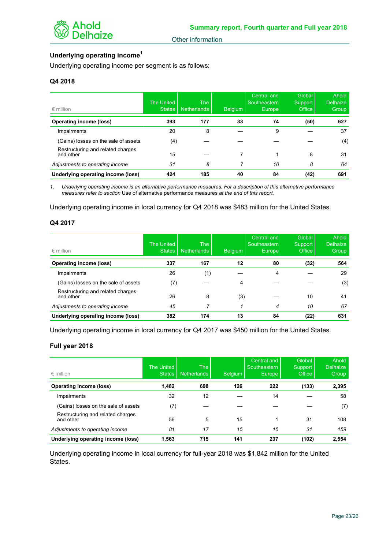# **Underlying operating income<sup>1</sup>**

Underlying operating income per segment is as follows:

## **Q4 2018**

| $\epsilon$ million                             | The United<br>States | <b>The</b><br><b>Netherlands</b> | <b>Belgium</b> | Central and<br>Southeastern<br>Europe | Global<br>Support<br>Office | Ahold<br><b>Delhaize</b><br>Group |
|------------------------------------------------|----------------------|----------------------------------|----------------|---------------------------------------|-----------------------------|-----------------------------------|
| <b>Operating income (loss)</b>                 | 393                  | 177                              | 33             | 74                                    | (50)                        | 627                               |
| Impairments                                    | 20                   | 8                                |                | 9                                     |                             | 37                                |
| (Gains) losses on the sale of assets           | (4)                  |                                  |                |                                       |                             | (4)                               |
| Restructuring and related charges<br>and other | 15                   |                                  |                |                                       | 8                           | 31                                |
| Adjustments to operating income                | 31                   | 8                                |                | 10                                    | 8                           | 64                                |
| Underlying operating income (loss)             | 424                  | 185                              | 40             | 84                                    | (42)                        | 691                               |

*1. Underlying operating income is an alternative performance measures. For a description of this alternative performance measures refer to section* Use of alternative performance measures *at the end of this report.*

Underlying operating income in local currency for Q4 2018 was \$483 million for the United States.

#### **Q4 2017**

| $\epsilon$ million                             | The United<br><b>States</b> | The<br><b>Netherlands</b> | Belgium | Central and<br>Southeastern<br>Europe <sub>1</sub> | Global<br>Support<br>Office | <b>Ahold</b><br><b>Delhaize</b><br>Group |
|------------------------------------------------|-----------------------------|---------------------------|---------|----------------------------------------------------|-----------------------------|------------------------------------------|
| <b>Operating income (loss)</b>                 | 337                         | 167                       | 12      | 80                                                 | (32)                        | 564                                      |
| Impairments                                    | 26                          | (1)                       |         | 4                                                  |                             | 29                                       |
| (Gains) losses on the sale of assets           | (7)                         |                           | 4       |                                                    |                             | (3)                                      |
| Restructuring and related charges<br>and other | 26                          | 8                         | (3)     |                                                    | 10                          | 41                                       |
| Adjustments to operating income                | 45                          |                           |         | 4                                                  | 10                          | 67                                       |
| Underlying operating income (loss)             | 382                         | 174                       | 13      | 84                                                 | (22)                        | 631                                      |

Underlying operating income in local currency for Q4 2017 was \$450 million for the United States.

#### **Full year 2018**

| $\epsilon$ million                             | The United<br><b>States</b> | <b>The</b><br><b>Netherlands</b> | <b>Belgium</b> | Central and<br>Southeastern<br>Europe, | Global<br>Support<br>Office | Ahold<br><b>Delhaize</b><br>'Group |
|------------------------------------------------|-----------------------------|----------------------------------|----------------|----------------------------------------|-----------------------------|------------------------------------|
| <b>Operating income (loss)</b>                 | 1,482                       | 698                              | 126            | 222                                    | (133)                       | 2,395                              |
| Impairments                                    | 32                          | 12                               |                | 14                                     |                             | 58                                 |
| (Gains) losses on the sale of assets           | (7)                         |                                  |                |                                        |                             | (7)                                |
| Restructuring and related charges<br>and other | 56                          | 5                                | 15             |                                        | 31                          | 108                                |
| Adjustments to operating income                | 81                          | 17                               | 15             | 15                                     | 31                          | 159                                |
| Underlying operating income (loss)             | 1.563                       | 715                              | 141            | 237                                    | (102)                       | 2,554                              |

Underlying operating income in local currency for full-year 2018 was \$1,842 million for the United States.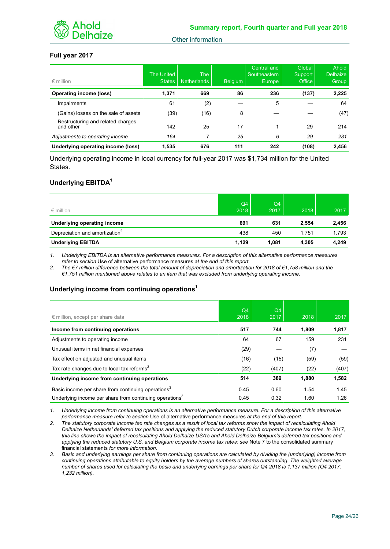

## **Full year 2017**

| $\epsilon$ million                             | The United<br><b>States</b> | <b>The</b><br><b>Netherlands</b> | <b>Belgium</b> | Central and<br>Southeastern<br>Europe | <b>Global</b><br>Support<br>Office | Ahold<br><b>Delhaize</b><br>Group |
|------------------------------------------------|-----------------------------|----------------------------------|----------------|---------------------------------------|------------------------------------|-----------------------------------|
| <b>Operating income (loss)</b>                 | 1,371                       | 669                              | 86             | 236                                   | (137)                              | 2,225                             |
| Impairments                                    | 61                          | (2)                              |                | 5                                     |                                    | 64                                |
| (Gains) losses on the sale of assets           | (39)                        | (16)                             | 8              |                                       |                                    | (47)                              |
| Restructuring and related charges<br>and other | 142                         | 25                               | 17             |                                       | 29                                 | 214                               |
| Adjustments to operating income                | 164                         |                                  | 25             | 6                                     | 29                                 | 231                               |
| Underlying operating income (loss)             | 1.535                       | 676                              | 111            | 242                                   | (108)                              | 2.456                             |

Underlying operating income in local currency for full-year 2017 was \$1,734 million for the United States.

## **Underlying EBITDA<sup>1</sup>**

| $\epsilon$ million                         | Q4<br>2018 | Q4<br>2017 | 2018  | 2017  |
|--------------------------------------------|------------|------------|-------|-------|
| Underlying operating income                | 691        | 631        | 2,554 | 2,456 |
| Depreciation and amortization <sup>2</sup> | 438        | 450        | 1.751 | 1,793 |
| <b>Underlying EBITDA</b>                   | 1,129      | 1.081      | 4,305 | 4,249 |

*1. Underlying EBITDA is an alternative performance measures. For a description of this alternative performance measures refer to section* Use of alternative performance measures *at the end of this report.*

*2. The €7 million difference between the total amount of depreciation and amortization for 2018 of €1,758 million and the €1,751 million mentioned above relates to an item that was excluded from underlying operating income.*

#### **Underlying income from continuing operations<sup>1</sup>**

| $\epsilon$ million, except per share data                           | Q4<br>2018 | Q4<br>2017 | 2018  | 2017  |
|---------------------------------------------------------------------|------------|------------|-------|-------|
| Income from continuing operations                                   | 517        | 744        | 1.809 | 1,817 |
| Adjustments to operating income                                     | 64         | 67         | 159   | 231   |
| Unusual items in net financial expenses                             | (29)       |            | (7)   |       |
| Tax effect on adjusted and unusual items                            | (16)       | (15)       | (59)  | (59)  |
| Tax rate changes due to local tax reforms <sup>2</sup>              | (22)       | (407)      | (22)  | (407) |
| Underlying income from continuing operations                        | 514        | 389        | 1,880 | 1,582 |
| Basic income per share from continuing operations <sup>3</sup>      | 0.45       | 0.60       | 1.54  | 1.45  |
| Underlying income per share from continuing operations <sup>3</sup> | 0.45       | 0.32       | 1.60  | 1.26  |

*1. Underlying income from continuing operations is an alternative performance measure. For a description of this alternative performance measure refer to section* Use of alternative performance measures *at the end of this report.*

*2. The statutory corporate income tax rate changes as a result of local tax reforms show the impact of recalculating Ahold Delhaize Netherlands' deferred tax positions and applying the reduced statutory Dutch corporate income tax rates. In 2017, this line shows the impact of recalculating Ahold Delhaize USA's and Ahold Delhaize Belgium's deferred tax positions and*  applying the reduced statutory U.S. and Belgium corporate income tax rates; see Note 7 to the consolidated summary financial statements *for more information.*

*3. Basic and underlying earnings per share from continuing operations are calculated by dividing the (underlying) income from continuing operations attributable to equity holders by the average numbers of shares outstanding. The weighted average number of shares used for calculating the basic and underlying earnings per share for Q4 2018 is 1,137 million (Q4 2017: 1,232 million).*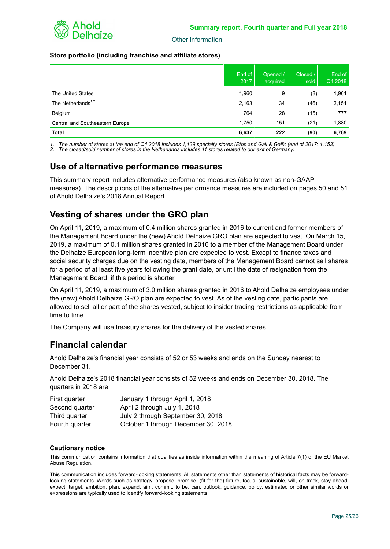

## **Store portfolio (including franchise and affiliate stores)**

|                                 | End of<br>2017 | Opened /<br>acquired | Closed /<br>sold | End of<br>Q4 2018 |
|---------------------------------|----------------|----------------------|------------------|-------------------|
| The United States               | 1,960          | 9                    | (8)              | 1,961             |
| The Netherlands <sup>1,2</sup>  | 2,163          | 34                   | (46)             | 2,151             |
| Belgium                         | 764            | 28                   | (15)             | 777               |
| Central and Southeastern Europe | 1,750          | 151                  | (21)             | 1,880             |
| <b>Total</b>                    | 6,637          | 222                  | (90)             | 6,769             |

*1. The number of stores at the end of Q4 2018 includes 1,139 specialty stores (Etos and Gall & Gall); (end of 2017: 1,153).* 

*2. The closed/sold number of stores in the Netherlands includes 11 stores related to our exit of Germany.*

# **Use of alternative performance measures**

This summary report includes alternative performance measures (also known as non-GAAP measures). The descriptions of the alternative performance measures are included on pages 50 and 51 of Ahold Delhaize's 2018 Annual Report.

# **Vesting of shares under the GRO plan**

On April 11, 2019, a maximum of 0.4 million shares granted in 2016 to current and former members of the Management Board under the (new) Ahold Delhaize GRO plan are expected to vest. On March 15, 2019, a maximum of 0.1 million shares granted in 2016 to a member of the Management Board under the Delhaize European long-term incentive plan are expected to vest. Except to finance taxes and social security charges due on the vesting date, members of the Management Board cannot sell shares for a period of at least five years following the grant date, or until the date of resignation from the Management Board, if this period is shorter.

On April 11, 2019, a maximum of 3.0 million shares granted in 2016 to Ahold Delhaize employees under the (new) Ahold Delhaize GRO plan are expected to vest. As of the vesting date, participants are allowed to sell all or part of the shares vested, subject to insider trading restrictions as applicable from time to time.

The Company will use treasury shares for the delivery of the vested shares.

# **Financial calendar**

Ahold Delhaize's financial year consists of 52 or 53 weeks and ends on the Sunday nearest to December 31.

Ahold Delhaize's 2018 financial year consists of 52 weeks and ends on December 30, 2018. The quarters in 2018 are:

| First quarter  | January 1 through April 1, 2018     |
|----------------|-------------------------------------|
| Second quarter | April 2 through July 1, 2018        |
| Third quarter  | July 2 through September 30, 2018   |
| Fourth quarter | October 1 through December 30, 2018 |

## **Cautionary notice**

This communication contains information that qualifies as inside information within the meaning of Article 7(1) of the EU Market Abuse Regulation.

This communication includes forward-looking statements. All statements other than statements of historical facts may be forwardlooking statements. Words such as strategy, propose, promise, (fit for the) future, focus, sustainable, will, on track, stay ahead, expect, target, ambition, plan, expand, aim, commit, to be, can, outlook, guidance, policy, estimated or other similar words or expressions are typically used to identify forward-looking statements.